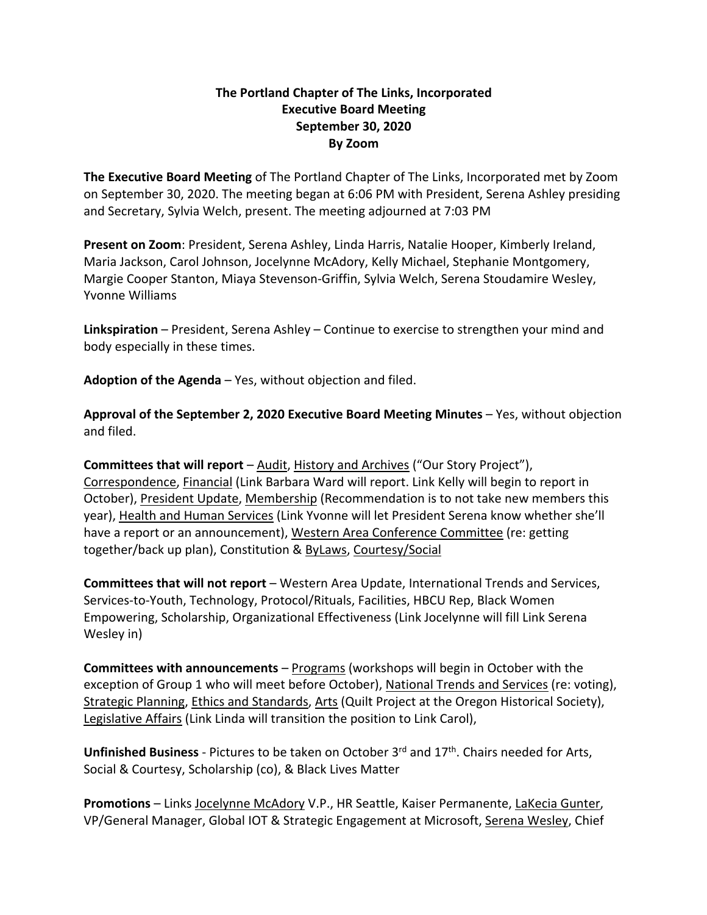## **The Portland Chapter of The Links, Incorporated Executive Board Meeting September 30, 2020 By Zoom**

**The Executive Board Meeting** of The Portland Chapter of The Links, Incorporated met by Zoom on September 30, 2020. The meeting began at 6:06 PM with President, Serena Ashley presiding and Secretary, Sylvia Welch, present. The meeting adjourned at 7:03 PM

**Present on Zoom**: President, Serena Ashley, Linda Harris, Natalie Hooper, Kimberly Ireland, Maria Jackson, Carol Johnson, Jocelynne McAdory, Kelly Michael, Stephanie Montgomery, Margie Cooper Stanton, Miaya Stevenson-Griffin, Sylvia Welch, Serena Stoudamire Wesley, Yvonne Williams

**Linkspiration** – President, Serena Ashley – Continue to exercise to strengthen your mind and body especially in these times.

**Adoption of the Agenda** – Yes, without objection and filed.

**Approval of the September 2, 2020 Executive Board Meeting Minutes** – Yes, without objection and filed.

**Committees that will report** – Audit, History and Archives ("Our Story Project"), Correspondence, Financial (Link Barbara Ward will report. Link Kelly will begin to report in October), President Update, Membership (Recommendation is to not take new members this year), Health and Human Services (Link Yvonne will let President Serena know whether she'll have a report or an announcement), Western Area Conference Committee (re: getting together/back up plan), Constitution & ByLaws, Courtesy/Social

**Committees that will not report** – Western Area Update, International Trends and Services, Services-to-Youth, Technology, Protocol/Rituals, Facilities, HBCU Rep, Black Women Empowering, Scholarship, Organizational Effectiveness (Link Jocelynne will fill Link Serena Wesley in)

**Committees with announcements** – Programs (workshops will begin in October with the exception of Group 1 who will meet before October), National Trends and Services (re: voting), Strategic Planning, Ethics and Standards, Arts (Quilt Project at the Oregon Historical Society), Legislative Affairs (Link Linda will transition the position to Link Carol),

**Unfinished Business** - Pictures to be taken on October 3rd and 17th. Chairs needed for Arts, Social & Courtesy, Scholarship (co), & Black Lives Matter

**Promotions** – Links Jocelynne McAdory V.P., HR Seattle, Kaiser Permanente, LaKecia Gunter, VP/General Manager, Global IOT & Strategic Engagement at Microsoft, Serena Wesley, Chief